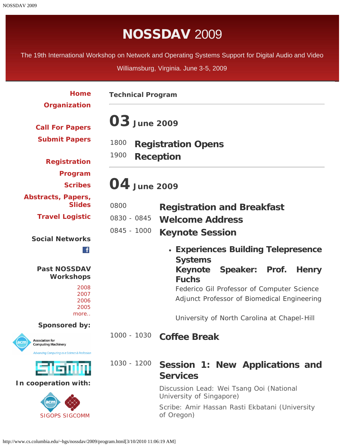# NOSSDAV 2009

<span id="page-0-0"></span>The 19th International Workshop on Network and Operating Systems Support for Digital Audio and Video

Williamsburg, Virginia. June 3-5, 2009

| Home                                                         | <b>Technical Program</b> |                                                                                           |
|--------------------------------------------------------------|--------------------------|-------------------------------------------------------------------------------------------|
| Organization<br><b>Call For Papers</b>                       | <b>03</b> June 2009      |                                                                                           |
| <b>Submit Papers</b>                                         | 1800                     | <b>Registration Opens</b>                                                                 |
| <b>Registration</b>                                          | 1900                     | <b>Reception</b>                                                                          |
| Program                                                      | 04 June 2009             |                                                                                           |
| <b>Scribes</b>                                               |                          |                                                                                           |
| Abstracts, Papers,<br><b>Slides</b>                          | 0800                     | <b>Registration and Breakfast</b>                                                         |
| <b>Travel Logistic</b>                                       | 0830 - 0845              | <b>Welcome Address</b>                                                                    |
| <b>Social Networks</b>                                       | 0845 - 1000              | <b>Keynote Session</b>                                                                    |
| $\mathbf{f}$                                                 |                          | • Experiences Building Telepresence<br><b>Systems</b>                                     |
| <b>Past NOSSDAV</b><br><b>Workshops</b>                      |                          | Keynote Speaker: Prof.<br><b>Henry</b><br><b>Fuchs</b>                                    |
| 2008<br>2007<br>2006<br>2005                                 |                          | Federico Gil Professor of Computer Science<br>Adjunct Professor of Biomedical Engineering |
| more                                                         |                          | University of North Carolina at Chapel-Hill                                               |
| <b>Sponsored by:</b>                                         |                          |                                                                                           |
| <b>Association for</b><br>acm)<br><b>Computing Machinery</b> | 1000 - 1030              | <b>Coffee Break</b>                                                                       |
| Advancing Computing as a Science & Profession<br>stsmm       | 1030 - 1200              | Session 1: New Applications and<br><b>Services</b>                                        |
| In cooperation with:                                         |                          | Discussion Lead: Wei Tsang Ooi (National<br>University of Singapore)                      |
| acm<br><b>SIGOPS SIGCOMM</b>                                 |                          | Scribe: Amir Hassan Rasti Ekbatani (University<br>of Oregon)                              |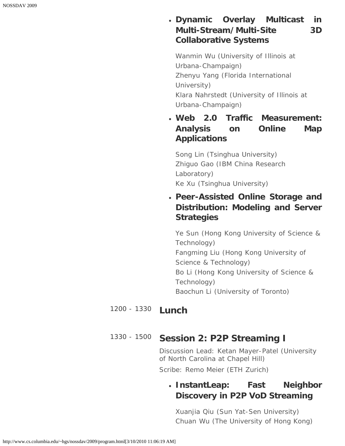#### **Dynamic Overlay Multicast in Multi-Stream/Multi-Site 3D Collaborative Systems**

*Wanmin Wu (University of Illinois at Urbana-Champaign) Zhenyu Yang (Florida International University) Klara Nahrstedt (University of Illinois at Urbana-Champaign)*

**Web 2.0 Traffic Measurement: Analysis on Online Map Applications**

*Song Lin (Tsinghua University) Zhiguo Gao (IBM China Research Laboratory) Ke Xu (Tsinghua University)*

**Peer-Assisted Online Storage and Distribution: Modeling and Server Strategies**

*Ye Sun (Hong Kong University of Science & Technology) Fangming Liu (Hong Kong University of Science & Technology) Bo Li (Hong Kong University of Science & Technology) Baochun Li (University of Toronto)*

#### 1200 - 1330 **Lunch**

#### 1330 - 1500 **Session 2: P2P Streaming I**

*Discussion Lead: Ketan Mayer-Patel (University of North Carolina at Chapel Hill)*

*Scribe: Remo Meier (ETH Zurich)*

#### **InstantLeap: Fast Neighbor Discovery in P2P VoD Streaming**

*Xuanjia Qiu (Sun Yat-Sen University) Chuan Wu (The University of Hong Kong)*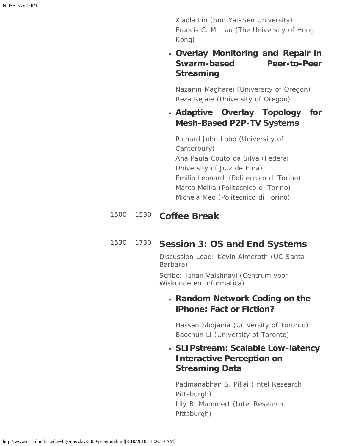*Xiaola Lin (Sun Yat-Sen University) Francis C. M. Lau (The University of Hong Kong)*

#### **Overlay Monitoring and Repair in Swarm-based Peer-to-Peer Streaming**

*Nazanin Magharei (University of Oregon) Reza Rejaie (University of Oregon)*

#### **Adaptive Overlay Topology for Mesh-Based P2P-TV Systems**

*Richard John Lobb (University of Canterbury) Ana Paula Couto da Silva (Federal University of Juiz de Fora) Emilio Leonardi (Politecnico di Torino) Marco Mellia (Politecnico di Torino) Michela Meo (Politecnico di Torino)*

## 1500 - 1530 **Coffee Break**

#### 1530 - 1730 **Session 3: OS and End Systems**

*Discussion Lead: Kevin Almeroth (UC Santa Barbara)*

*Scribe: Ishan Vaishnavi (Centrum voor Wiskunde en Informatica)*

#### *Random Network Coding on the iPhone: Fact or Fiction?*

*Hassan Shojania (University of Toronto) Baochun Li (University of Toronto)*

#### *SLIPstream: Scalable Low-latency Interactive Perception on Streaming Data*

*Padmanabhan S. Pillai (Intel Research Pittsburgh) Lily B. Mummert (Intel Research Pittsburgh)*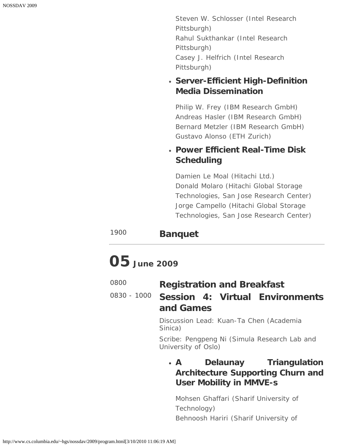*Steven W. Schlosser (Intel Research Pittsburgh) Rahul Sukthankar (Intel Research Pittsburgh) Casey J. Helfrich (Intel Research Pittsburgh)*

#### *Server-Efficient High-Definition Media Dissemination*

*Philip W. Frey (IBM Research GmbH) Andreas Hasler (IBM Research GmbH) Bernard Metzler (IBM Research GmbH) Gustavo Alonso (ETH Zurich)*

#### *Power Efficient Real-Time Disk Scheduling*

*Damien Le Moal (Hitachi Ltd.) Donald Molaro (Hitachi Global Storage Technologies, San Jose Research Center) Jorge Campello (Hitachi Global Storage Technologies, San Jose Research Center)*

#### <sup>1900</sup> **Banquet**

# **05 June 2009**

| 0800 | <b>Registration and Breakfast</b> |
|------|-----------------------------------|
|------|-----------------------------------|

### 0830 - 1000 **Session 4: Virtual Environments and Games**

*Discussion Lead: Kuan-Ta Chen (Academia Sinica)*

*Scribe: Pengpeng Ni (Simula Research Lab and University of Oslo)*

#### **A Delaunay Triangulation Architecture Supporting Churn and User Mobility in MMVE-s**

*Mohsen Ghaffari (Sharif University of Technology) Behnoosh Hariri (Sharif University of*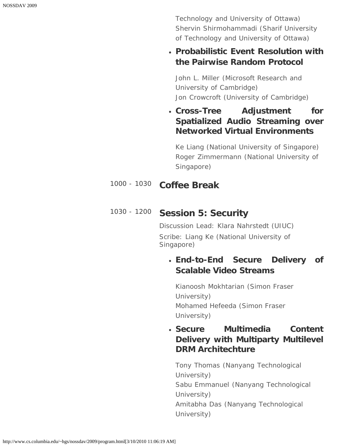*Technology and University of Ottawa) Shervin Shirmohammadi (Sharif University of Technology and University of Ottawa)*

#### **Probabilistic Event Resolution with the Pairwise Random Protocol**

*John L. Miller (Microsoft Research and University of Cambridge) Jon Crowcroft (University of Cambridge)*

**Cross-Tree Adjustment for Spatialized Audio Streaming over Networked Virtual Environments**

*Ke Liang (National University of Singapore) Roger Zimmermann (National University of Singapore)*

#### 1000 - 1030 **Coffee Break**

#### 1030 - 1200 **Session 5: Security**

*Discussion Lead: Klara Nahrstedt (UIUC) Scribe: Liang Ke (National University of Singapore)*

#### **End-to-End Secure Delivery of Scalable Video Streams**

*Kianoosh Mokhtarian (Simon Fraser University) Mohamed Hefeeda (Simon Fraser University)*

#### **Secure Multimedia Content Delivery with Multiparty Multilevel DRM Architechture**

*Tony Thomas (Nanyang Technological University) Sabu Emmanuel (Nanyang Technological University) Amitabha Das (Nanyang Technological University)*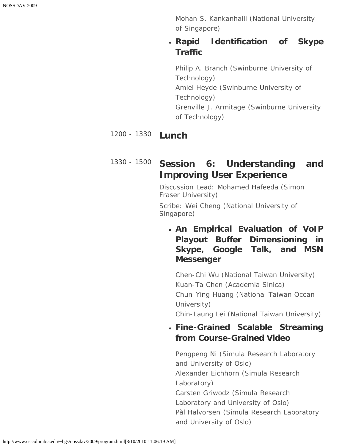*Mohan S. Kankanhalli (National University of Singapore)*

#### **Rapid Identification of Skype Traffic**

*Philip A. Branch (Swinburne University of Technology) Amiel Heyde (Swinburne University of Technology) Grenville J. Armitage (Swinburne University of Technology)*

## 1200 - 1330 **Lunch**

## 1330 - 1500 **Session 6: Understanding and Improving User Experience**

*Discussion Lead: Mohamed Hafeeda (Simon Fraser University)*

*Scribe: Wei Cheng (National University of Singapore)*

#### **An Empirical Evaluation of VoIP Playout Buffer Dimensioning in Skype, Google Talk, and MSN Messenger**

*Chen-Chi Wu (National Taiwan University) Kuan-Ta Chen (Academia Sinica) Chun-Ying Huang (National Taiwan Ocean University) Chin-Laung Lei (National Taiwan University)*

**Fine-Grained Scalable Streaming**

## **from Course-Grained Video**

*Pengpeng Ni (Simula Research Laboratory and University of Oslo) Alexander Eichhorn (Simula Research Laboratory) Carsten Griwodz (Simula Research Laboratory and University of Oslo) Pål Halvorsen (Simula Research Laboratory and University of Oslo)*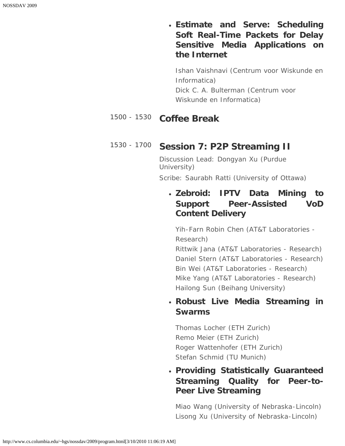**Estimate and Serve: Scheduling Soft Real-Time Packets for Delay Sensitive Media Applications on the Internet**

*Ishan Vaishnavi (Centrum voor Wiskunde en Informatica) Dick C. A. Bulterman (Centrum voor Wiskunde en Informatica)*

#### 1500 - 1530 **Coffee Break**

#### 1530 - 1700 **Session 7: P2P Streaming II**

*Discussion Lead: Dongyan Xu (Purdue University) Scribe: Saurabh Ratti (University of Ottawa)*

#### **Zebroid: IPTV Data Mining to Support Peer-Assisted VoD Content Delivery**

*Yih-Farn Robin Chen (AT&T Laboratories - Research)*

*Rittwik Jana (AT&T Laboratories - Research) Daniel Stern (AT&T Laboratories - Research) Bin Wei (AT&T Laboratories - Research) Mike Yang (AT&T Laboratories - Research) Hailong Sun (Beihang University)*

#### **Robust Live Media Streaming in Swarms**

*Thomas Locher (ETH Zurich) Remo Meier (ETH Zurich) Roger Wattenhofer (ETH Zurich) Stefan Schmid (TU Munich)*

#### **Providing Statistically Guaranteed Streaming Quality for Peer-to-Peer Live Streaming**

*Miao Wang (University of Nebraska-Lincoln) Lisong Xu (University of Nebraska-Lincoln)*